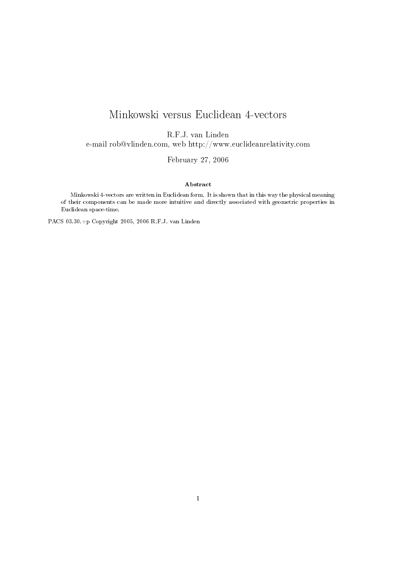# Minkowski versus Euclidean 4-vectors

R.F.J. van Linden

e-mail rob@vlinden.com, web http://www.euclideanrelativity.com

February 27, 2006

#### Abstract

Minkowski 4-vectors are written in Euclidean form. It is shown that in this way the physical meaning of their components can be made more intuitive and directly associated with geometric properties in Euclidean space-time.

PACS 03.30.+p Copyright 2005, 2006 R.F.J. van Linden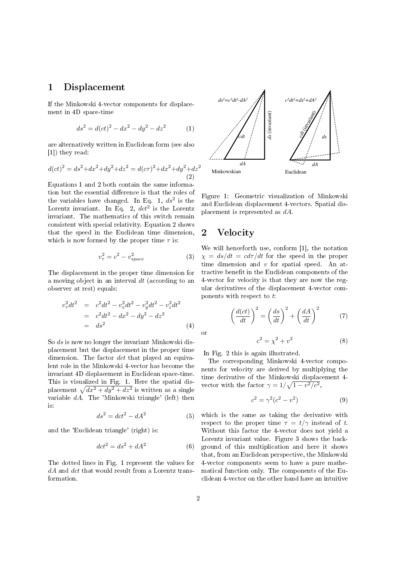### 1 Displacement

If the Minkowski 4-vector components for displacement in 4D space-time

$$
ds^2 = d(ct)^2 - dx^2 - dy^2 - dz^2 \tag{1}
$$

are alternatively written in Euclidean form (see also [1]) they read:

$$
d(ct)^{2} = ds^{2} + dx^{2} + dy^{2} + dz^{2} = d(c\tau)^{2} + dx^{2} + dy^{2} + dz^{2}
$$
\n(2)

Equations 1 and 2 both contain the same information but the essential difference is that the roles of the variables have changed. In Eq. 1,  $ds^2$  is the Lorentz invariant. In Eq. 2,  $dct^2$  is the Lorentz invariant. The mathematics of this switch remain consistent with special relativity. Equation 2 shows that the speed in the Euclidean time dimension, which is now formed by the proper time  $\tau$  is:

$$
v_{\tau}^2 = c^2 - v_{space}^2 \tag{3}
$$

The displacement in the proper time dimension for a moving object in an interval  $dt$  (according to an observer at rest) equals:

$$
v_{\tau}^{2}dt^{2} = c^{2}dt^{2} - v_{x}^{2}dt^{2} - v_{y}^{2}dt^{2} - v_{z}^{2}dt^{2}
$$
  
=  $c^{2}dt^{2} - dx^{2} - dy^{2} - dz^{2}$   
=  $ds^{2}$  (4)

So ds is now no longer the invariant Minkowski displacement but the displacement in the proper time dimension. The factor dct that played an equivalent role in the Minkowski 4-vector has become the invariant 4D displacement in Euclidean space-time. This is visualized in Fig. 1. Here the spatial displacement  $\sqrt{dx^2 + dy^2 + dz^2}$  is written as a single variable dA. The 'Minkowski triangle' (left) then is:

$$
ds^2 = dct^2 - dA^2 \tag{5}
$$

and the 'Euclidean triangle' (right) is:

$$
dct^2 = ds^2 + dA^2 \tag{6}
$$

The dotted lines in Fig. 1 represent the values for  $dA$  and  $dct$  that would result from a Lorentz transformation.



Figure 1: Geometric visualization of Minkowski and Euclidean displacement 4-vectors. Spatial displacement is represented as dA.

## 2 Velocity

We will henceforth use, conform [1], the notation  $\chi = ds/dt = c d\tau/dt$  for the speed in the proper time dimension and  $v$  for spatial speed. An attractive benefit in the Euclidean components of the 4-vector for velocity is that they are now the regular derivatives of the displacement 4-vector components with respect to  $t$ :

$$
\left(\frac{d(ct)}{dt}\right)^2 = \left(\frac{ds}{dt}\right)^2 + \left(\frac{dA}{dt}\right)^2\tag{7}
$$

or

$$
c^2 = \chi^2 + v^2 \tag{8}
$$

In Fig. 2 this is again illustrated.

The corresponding Minkowski 4-vector components for velocity are derived by multiplying the time derivative of the Minkowski displacement 4 vector with the factor  $\gamma = 1/\sqrt{1 - v^2/c^2}$ ,

$$
c^2 = \gamma^2(c^2 - v^2) \tag{9}
$$

which is the same as taking the derivative with respect to the proper time  $\tau = t/\gamma$  instead of t. Without this factor the 4-vector does not yield a Lorentz invariant value. Figure 3 shows the background of this multiplication and here it shows that, from an Euclidean perspective, the Minkowski 4-vector components seem to have a pure mathematical function only. The components of the Euclidean 4-vector on the other hand have an intuitive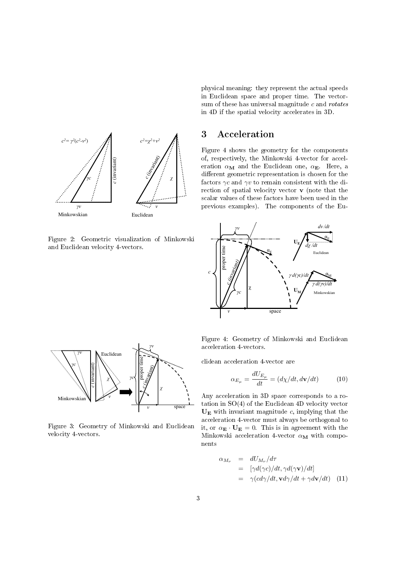

Figure 2: Geometric visualization of Minkowski and Euclidean velocity 4-vectors.

physical meaning: they represent the actual speeds in Euclidean space and proper time. The vectorsum of these has universal magnitude  $c$  and  $rotates$ in 4D if the spatial velocity accelerates in 3D.

#### 3 Acceleration

Figure 4 shows the geometry for the components of, respectively, the Minkowski 4-vector for acceleration  $\alpha_M$  and the Euclidean one,  $\alpha_E$ . Here, a different geometric representation is chosen for the factors  $\gamma c$  and  $\gamma v$  to remain consistent with the direction of spatial velocity vector  $\bf{v}$  (note that the scalar values of these factors have been used in the previous examples). The components of the Eu-





Figure 3: Geometry of Minkowski and Euclidean velocity 4-vectors.

Figure 4: Geometry of Minkowski and Euclidean acceleration 4-vectors.

clidean acceleration 4-vector are

$$
\alpha_{E_{\mu}} = \frac{dU_{E_{\mu}}}{dt} = (d\chi/dt, d\mathbf{v}/dt)
$$
 (10)

Any acceleration in 3D space corresponds to a rotation in SO(4) of the Euclidean 4D velocity vector  $U<sub>E</sub>$  with invariant magnitude c, implying that the acceleration 4-vector must always be orthogonal to it, or  $\alpha_{\mathbf{E}} \cdot \mathbf{U}_{\mathbf{E}} = 0$ . This is in agreement with the Minkowski acceleration 4-vector  $\alpha_M$  with components

$$
\alpha_{M_{\nu}} = dU_{M_{\nu}}/d\tau
$$
  
=  $[\gamma d(\gamma c)/dt, \gamma d(\gamma \mathbf{v})/dt]$   
=  $\gamma (c d\gamma/dt, \mathbf{v} d\gamma/dt + \gamma d\mathbf{v}/dt)$  (11)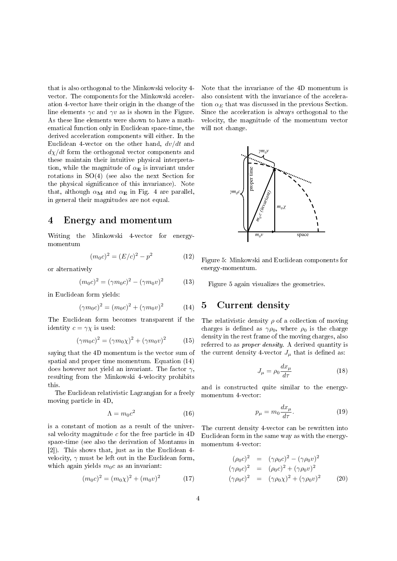that is also orthogonal to the Minkowski velocity 4 vector. The components for the Minkowski acceleration 4-vector have their origin in the change of the line elements  $\gamma c$  and  $\gamma v$  as is shown in the Figure. As these line elements were shown to have a mathematical function only in Euclidean space-time, the derived acceleration components will either. In the Euclidean 4-vector on the other hand,  $dv/dt$  and  $d\chi/dt$  form the orthogonal vector components and these maintain their intuitive physical interpretation, while the magnitude of  $\alpha_{\mathbf{E}}$  is invariant under rotations in  $SO(4)$  (see also the next Section for the physical significance of this invariance). Note that, although  $\alpha_M$  and  $\alpha_E$  in Fig. 4 are parallel, in general their magnitudes are not equal.

#### 4 Energy and momentum

Writing the Minkowski 4-vector for energymomentum

$$
(m_0 c)^2 = (E/c)^2 - p^2 \tag{12}
$$

or alternatively

$$
(m_0 c)^2 = (\gamma m_0 c)^2 - (\gamma m_0 v)^2 \tag{13}
$$

in Euclidean form yields:

$$
(\gamma m_0 c)^2 = (m_0 c)^2 + (\gamma m_0 v)^2 \tag{14}
$$

The Euclidean form becomes transparent if the identity  $c = \gamma \chi$  is used:

$$
(\gamma m_0 c)^2 = (\gamma m_0 \chi)^2 + (\gamma m_0 v)^2 \tag{15}
$$

saying that the 4D momentum is the vector sum of spatial and proper time momentum. Equation (14) does however not yield an invariant. The factor  $\gamma$ , resulting from the Minkowski 4-velocity prohibits this.

The Euclidean relativistic Lagrangian for a freely moving particle in 4D,

$$
\Lambda = m_0 c^2 \tag{16}
$$

is a constant of motion as a result of the universal velocity magnitude  $c$  for the free particle in  $4D$ space-time (see also the derivation of Montanus in [2]). This shows that, just as in the Euclidean 4 velocity,  $\gamma$  must be left out in the Euclidean form, which again yields  $m_0c$  as an invariant:

$$
(m_0 c)^2 = (m_0 \chi)^2 + (m_0 v)^2 \tag{17}
$$

Note that the invariance of the 4D momentum is also consistent with the invariance of the acceleration  $\alpha_E$  that was discussed in the previous Section. Since the acceleration is always orthogonal to the velocity, the magnitude of the momentum vector will not change.



Figure 5: Minkowski and Euclidean components for energy-momentum.

Figure 5 again visualizes the geometries.

#### 5 Current density

The relativistic density  $\rho$  of a collection of moving charges is defined as  $\gamma \rho_0$ , where  $\rho_0$  is the charge density in the rest frame of the moving charges, also referred to as proper density. A derived quantity is the current density 4-vector  $J_{\mu}$  that is defined as:

$$
J_{\mu} = \rho_0 \frac{dx_{\mu}}{d\tau} \tag{18}
$$

and is constructed quite similar to the energymomentum 4-vector:

$$
p_{\mu} = m_0 \frac{dx_{\mu}}{d\tau}.
$$
 (19)

The current density 4-vector can be rewritten into Euclidean form in the same way as with the energymomentum 4-vector:

$$
(\rho_0 c)^2 = (\gamma \rho_0 c)^2 - (\gamma \rho_0 v)^2 (\gamma \rho_0 c)^2 = (\rho_0 c)^2 + (\gamma \rho_0 v)^2 (\gamma \rho_0 c)^2 = (\gamma \rho_0 \chi)^2 + (\gamma \rho_0 v)^2
$$
 (20)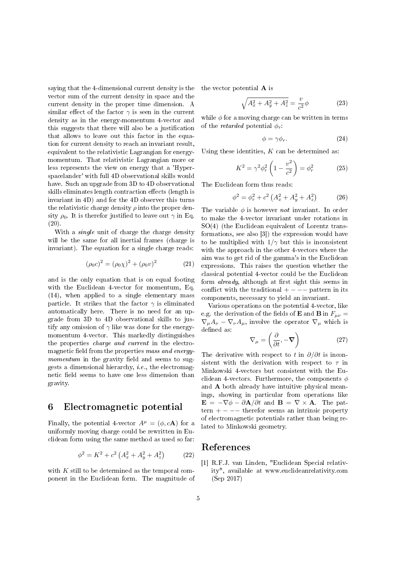saying that the 4-dimensional current density is the vector sum of the current density in space and the current density in the proper time dimension. A similar effect of the factor  $\gamma$  is seen in the current density as in the energy-momentum 4-vector and this suggests that there will also be a justification that allows to leave out this factor in the equation for current density to reach an invariant result, equivalent to the relativistic Lagrangian for energymomentum. That relativistic Lagrangian more or less represents the view on energy that a 'Hyperspacelander' with full 4D observational skills would have. Such an upgrade from 3D to 4D observational skills eliminates length contraction effects (length is invariant in 4D) and for the 4D observer this turns the relativistic charge density  $\rho$  into the proper density  $\rho_0$ . It is therefor justified to leave out  $\gamma$  in Eq. (20).

With a *single* unit of charge the charge density will be the same for all inertial frames (charge is invariant). The equation for a single charge reads:

$$
(\rho_0 c)^2 = (\rho_0 \chi)^2 + (\rho_0 v)^2 \tag{21}
$$

and is the only equation that is on equal footing with the Euclidean 4-vector for momentum, Eq. (14), when applied to a single elementary mass particle. It strikes that the factor  $\gamma$  is eliminated automatically here. There is no need for an upgrade from 3D to 4D observational skills to justify any omission of  $\gamma$  like was done for the energymomentum 4-vector. This markedly distinguishes the properties charge and current in the electromagnetic field from the properties mass and energymomentum in the gravity field and seems to suggests a dimensional hierarchy, i.e., the electromagnetic field seems to have one less dimension than gravity.

#### 6 Electromagnetic potential

Finally, the potential 4-vector  $A^{\mu} = (\phi, c\mathbf{A})$  for a uniformly moving charge could be rewritten in Euclidean form using the same method as used so far:

$$
\phi^2 = K^2 + c^2 \left( A_x^2 + A_y^2 + A_z^2 \right) \tag{22}
$$

with  $K$  still to be determined as the temporal component in the Euclidean form. The magnitude of the vector potential A is

$$
\sqrt{A_x^2 + A_y^2 + A_z^2} = \frac{v}{c^2} \phi
$$
 (23)

while  $\phi$  for a moving charge can be written in terms of the *retarded* potential  $\phi_r$ :

$$
\phi = \gamma \phi_r. \tag{24}
$$

Using these identities,  $K$  can be determined as:

$$
K^{2} = \gamma^{2} \phi_{r}^{2} \left( 1 - \frac{v^{2}}{c^{2}} \right) = \phi_{r}^{2}
$$
 (25)

The Euclidean form thus reads:

$$
\phi^2 = \phi_r^2 + c^2 \left( A_x^2 + A_y^2 + A_z^2 \right) \tag{26}
$$

The variable  $\phi$  is however *not* invariant. In order to make the 4-vector invariant under rotations in SO(4) (the Euclidean equivalent of Lorentz transformations, see also [3]) the expression would have to be multiplied with  $1/\gamma$  but this is inconsistent with the approach in the other 4-vectors where the aim was to get rid of the gamma's in the Euclidean expressions. This raises the question whether the classical potential 4-vector could be the Euclidean form *already*, although at first sight this seems in conflict with the traditional  $+ - - -$  pattern in its components, necessary to yield an invariant.

Various operations on the potential 4-vector, like e.g. the derivation of the fields of **E** and **B** in  $F_{\mu\nu}$  =  $\nabla_{\mu}A_{\nu} - \nabla_{\nu}A_{\mu}$ , involve the operator  $\nabla_{\mu}$  which is defined as:

$$
\nabla_{\mu} = \left(\frac{\partial}{\partial t}, -\nabla\right) \tag{27}
$$

The derivative with respect to t in  $\partial/\partial t$  is inconsistent with the derivation with respect to  $\tau$  in Minkowski 4-vectors but consistent with the Euclidean 4-vectors. Furthermore, the components  $\phi$ and A both already have intuitive physical meanings, showing in particular from operations like  $\mathbf{E} = -\nabla \phi - \partial \mathbf{A}/\partial t$  and  $\mathbf{B} = \nabla \times \mathbf{A}$ . The pattern +  $-$  therefor seems an intrinsic property of electromagnetic potentials rather than being related to Minkowski geometry.

#### References

[1] R.F.J. van Linden, "Euclidean Special relativity", available at www.euclideanrelativity.com (Sep 2017)